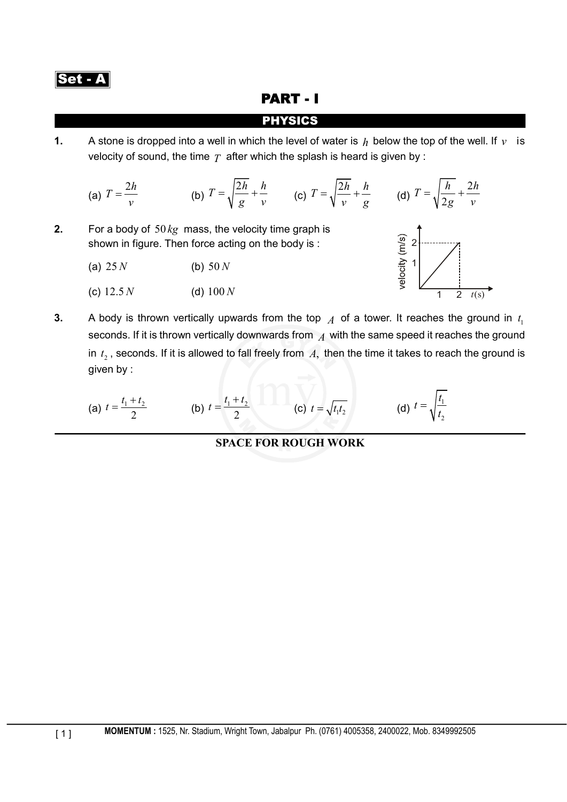### PART - I

### PHYSICS

**1.** A stone is dropped into a well in which the level of water is  $h$  below the top of the well. If  $v$  is velocity of sound, the time  $T$  after which the splash is heard is given by :

(a) 
$$
T = \frac{2h}{v}
$$
 (b)  $T = \sqrt{\frac{2h}{g}} + \frac{h}{v}$  (c)  $T = \sqrt{\frac{2h}{v}} + \frac{h}{g}$  (d)  $T = \sqrt{\frac{h}{2g}} + \frac{2h}{v}$ 

- **2.** For a body of 50 *kg* mass, the velocity time graph is shown in figure. Then force acting on the body is :
	- (a)  $25 N$  (b)  $50 N$
	- (c) 12.5 *N* (d) 100 *N*



**3.** A body is thrown vertically upwards from the top  $\overline{A}$  of a tower. It reaches the ground in  $t_1$ seconds. If it is thrown vertically downwards from *A* with the same speed it reaches the ground in  $t_2$ , seconds. If it is allowed to fall freely from  $A$ , then the time it takes to reach the ground is given by :

(a) 
$$
t = \frac{t_1 + t_2}{2}
$$
 (b)  $t = \frac{t_1 + t_2}{2}$  (c)  $t = \sqrt{t_1 t_2}$  (d)  $t = \sqrt{\frac{t_1}{t_2}}$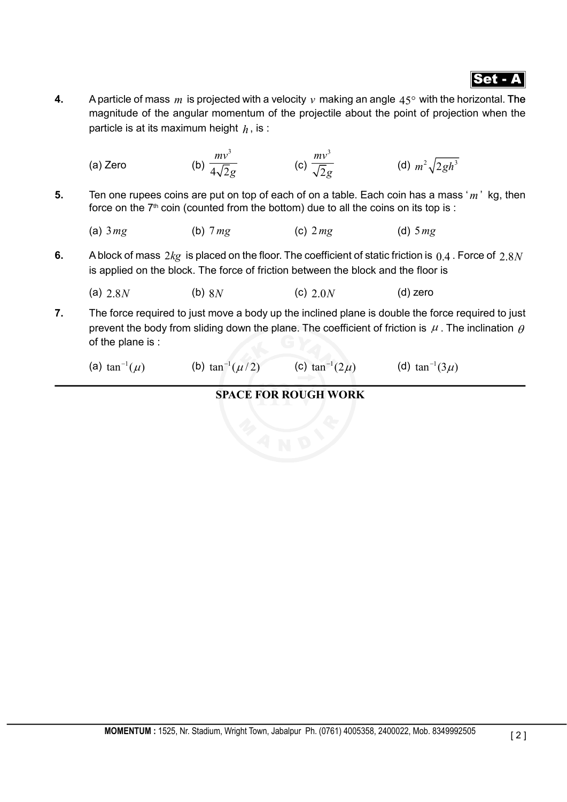

**4.** A particle of mass  $m$  is projected with a velocity  $v$  making an angle  $45^\circ$  with the horizontal. The magnitude of the angular momentum of the projectile about the point of projection when the particle is at its maximum height  $h$ , is :

(a) Zero  
\n(b) 
$$
\frac{mv^3}{4\sqrt{2g}}
$$
 (c)  $\frac{mv^3}{\sqrt{2g}}$  (d)  $m^2 \sqrt{2gh^3}$   
\n5. Ten one rupees coins are put on top of each of on a table. Each coin has a mass 'm' kg, then  
\nforce on the 7<sup>th</sup> coin (counted from the bottom) due to all the coins on its top is :  
\n(a) 3 mg (b) 7 mg (c) 2 mg (d) 5 mg  
\n6. A block of mass 2kg is placed on the floor. The coefficient of static friction is 0.4. Force of 2.8N  
\nis applied on the block. The force of friction between the block and the floor is  
\n(a) 2.8N (b) 8N (c) 2.0N (d) zero

- **7.** The force required to just move a body up the inclined plane is double the force required to just prevent the body from sliding down the plane. The coefficient of friction is  $\mu$ . The inclination  $\rho$ of the plane is :
	- (a)  $\tan^{-1}(\mu)$  (b)  $\tan^{-1}(\mu/2)$  (c)  $\tan^{-1}(2\mu)$  (d)  $\tan^{-1}(3\mu)$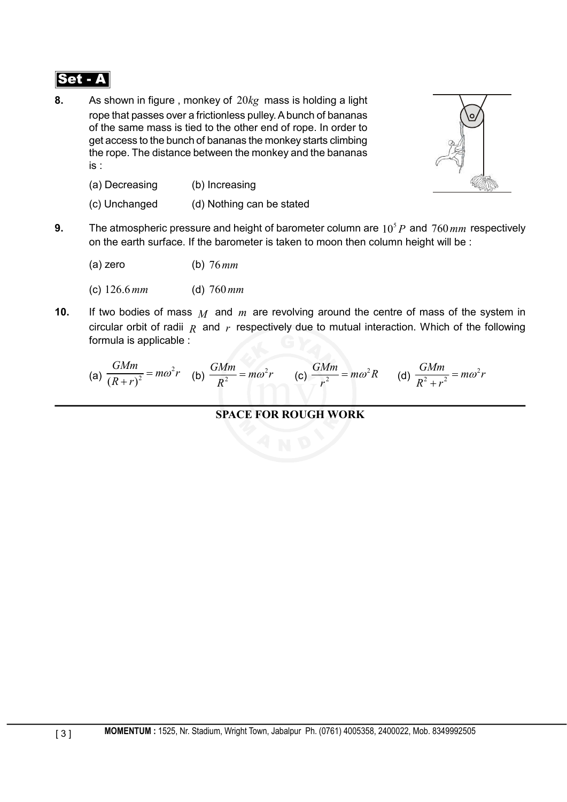**8.** As shown in figure , monkey of 20*kg* mass is holding a light rope that passes over a frictionless pulley. A bunch of bananas of the same mass is tied to the other end of rope. In order to get access to the bunch of bananas the monkey starts climbing the rope. The distance between the monkey and the bananas is :



- (a) Decreasing (b) Increasing
- (c) Unchanged (d) Nothing can be stated
- **9.** The atmospheric pressure and height of barometer column are  $10<sup>5</sup> P$  and  $760 \text{ mm}$  respectively on the earth surface. If the barometer is taken to moon then column height will be :
	- (a) zero (b) 76*mm*
	- (c) 126.6*mm* (d) 760*mm*
- **10.** If two bodies of mass *M* and *m* are revolving around the centre of mass of the system in circular orbit of radii  $R$  and  $r$  respectively due to mutual interaction. Which of the following formula is applicable :

(a) 
$$
\frac{GMm}{(R+r)^2} = m\omega^2 r
$$
 (b)  $\frac{GMm}{R^2} = m\omega^2 r$  (c)  $\frac{GMm}{r^2} = m\omega^2 R$  (d)  $\frac{GMm}{R^2 + r^2} = m\omega^2 r$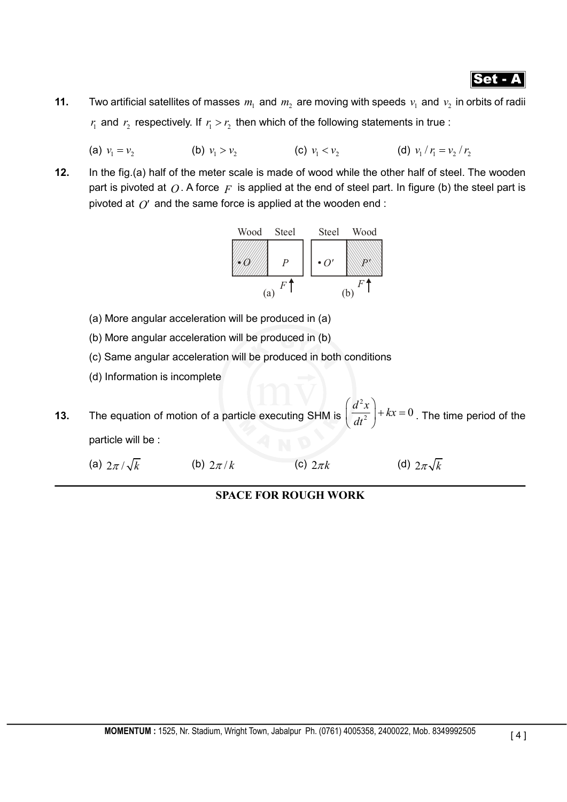**11.** Two artificial satellites of masses  $m_1$  and  $m_2$  are moving with speeds  $v_1$  and  $v_2$  in orbits of radii  $r_{\rm i}$  and  $r_{\rm j}$  respectively. If  $r_{\rm i} > r_{\rm j}$  then which of the following statements in true :

(a)  $v_1 = v_2$  (b)  $v_1 > v_2$  (c)  $v_1 < v_2$  (d)  $v_1 / r_1 = v_2 / r_2$ 

**12.** In the fig.(a) half of the meter scale is made of wood while the other half of steel. The wooden part is pivoted at  $Q$ . A force  $F$  is applied at the end of steel part. In figure (b) the steel part is pivoted at  $\hat{O}$  and the same force is applied at the wooden end :



- (a) More angular acceleration will be produced in (a)
- (b) More angular acceleration will be produced in (b)
- (c) Same angular acceleration will be produced in both conditions
- (d) Information is incomplete
- **13.** The equation of motion of a particle executing SHM is  $\left(\frac{d^2x}{dt^2}\right) + kx = 0$  $\left(\overline{dt^2}\right)^{+\kappa x=0}$ . The time period of the particle will be :
	- (a)  $2\pi/\sqrt{k}$  (b)  $2\pi/k$  (c)  $2\pi k$  (d)  $2\pi\sqrt{k}$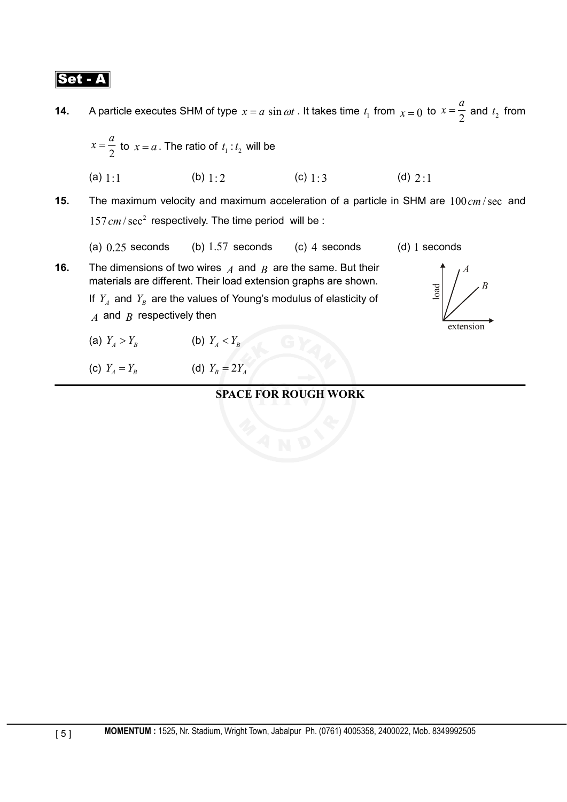**14.** A particle executes SHM of type  $x = a \sin \omega t$ . It takes time  $t_1$  from  $x = 0$  to  $x = \frac{1}{2}$  $x = \frac{a}{2}$  and  $t_2$  from  $x = \frac{a}{2}$  to  $x = a$ . The ratio of  $t_1 : t_2$  will be

2 (a) 1:1 (b) 1: 2 (c) 1: 3 (d) 2 :1

- **15.** The maximum velocity and maximum acceleration of a particle in SHM are  $100 \text{ cm/sec}$  and  $157 \, \text{cm} / \text{sec}^2$  respectively. The time period will be :
	- (a)  $0.25$  seconds (b)  $1.57$  seconds (c) 4 seconds (d) 1 seconds

load

*B*

*A*

extension

- **16.** The dimensions of two wires *A* and *B* are the same. But their materials are different. Their load extension graphs are shown. If  $Y_A$  and  $Y_B$  are the values of Young's modulus of elasticity of *A* and *B* respectively then
	- (a)  $Y_A > Y_B$  (b)  $Y_A < Y_B$
	- (c)  $Y_A = Y_B$  (d)  $Y_B = 2Y_A$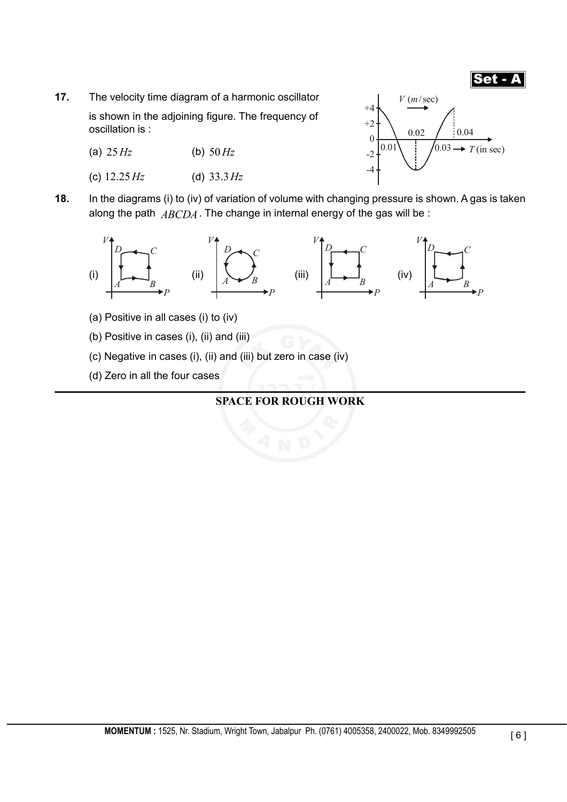

- **17.** The velocity time diagram of a harmonic oscillator is shown in the adjoining figure. The frequency of oscillation is :
	- (a) 25*Hz* (b) 50 *Hz*
	- (c) 12.25 *Hz* (d) 33.3*Hz*



**18.** In the diagrams (i) to (iv) of variation of volume with changing pressure is shown. A gas is taken along the path *ABCDA*. The change in internal energy of the gas will be :



- (a) Positive in all cases (i) to (iv)
- (b) Positive in cases (i), (ii) and (iii)
- (c) Negative in cases (i), (ii) and (iii) but zero in case (iv)
- (d) Zero in all the four cases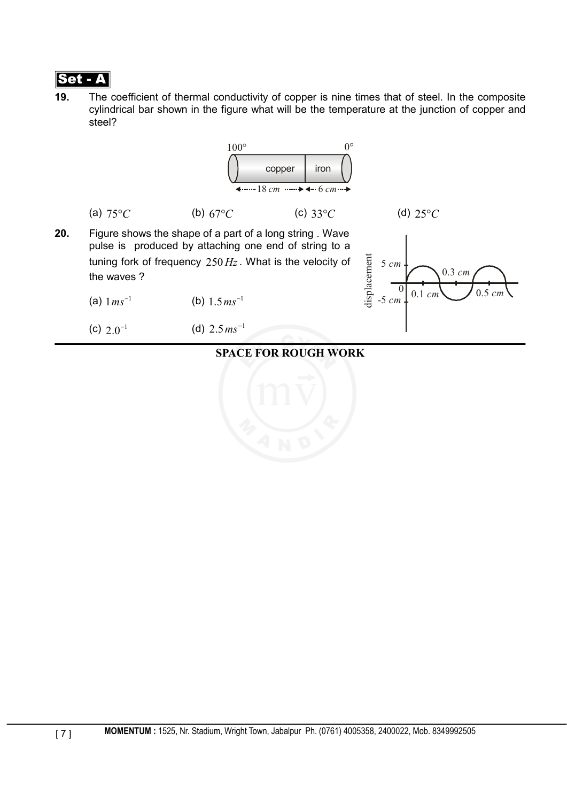

**19.** The coefficient of thermal conductivity of copper is nine times that of steel. In the composite cylindrical bar shown in the figure what will be the temperature at the junction of copper and steel?

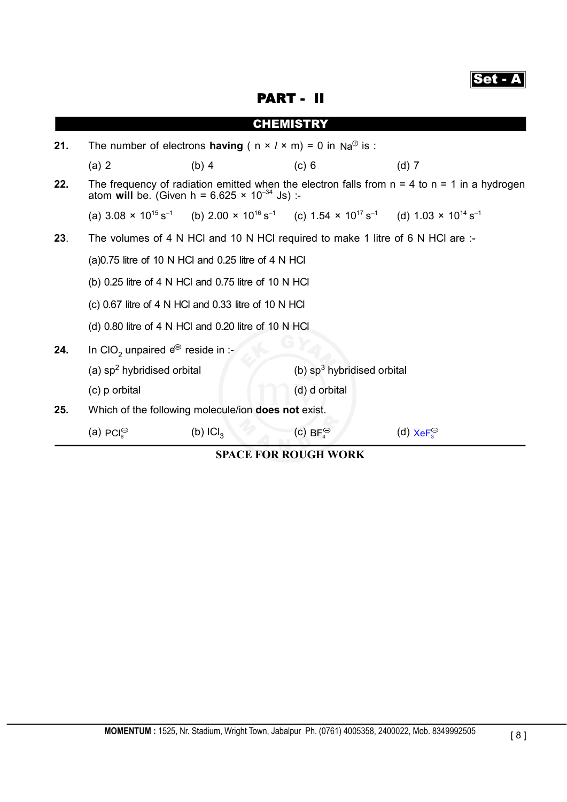|--|

PART - II

|     |                                                                                                                                                                                                                                                                                                                 |                                                            | <b>CHEMISTRY</b>                                                                                                                                                    |                       |  |
|-----|-----------------------------------------------------------------------------------------------------------------------------------------------------------------------------------------------------------------------------------------------------------------------------------------------------------------|------------------------------------------------------------|---------------------------------------------------------------------------------------------------------------------------------------------------------------------|-----------------------|--|
| 21. | The number of electrons <b>having</b> ( $n \times 1 \times m$ ) = 0 in Na <sup><math>\oplus</math></sup> is :                                                                                                                                                                                                   |                                                            |                                                                                                                                                                     |                       |  |
|     | (a) 2                                                                                                                                                                                                                                                                                                           | $(b)$ 4                                                    | (c) 6                                                                                                                                                               | $(d)$ 7               |  |
| 22. | The frequency of radiation emitted when the electron falls from $n = 4$ to $n = 1$ in a hydrogen<br>atom will be. (Given h = $6.625 \times 10^{-34}$ Js) :-                                                                                                                                                     |                                                            |                                                                                                                                                                     |                       |  |
|     |                                                                                                                                                                                                                                                                                                                 |                                                            | (a) $3.08 \times 10^{15} \text{ s}^{-1}$ (b) $2.00 \times 10^{16} \text{ s}^{-1}$ (c) $1.54 \times 10^{17} \text{ s}^{-1}$ (d) $1.03 \times 10^{14} \text{ s}^{-1}$ |                       |  |
| 23. | The volumes of 4 N HCl and 10 N HCl required to make 1 litre of 6 N HCl are :-<br>$(a)0.75$ litre of 10 N HCl and 0.25 litre of 4 N HCl<br>(b) 0.25 litre of 4 N HCl and 0.75 litre of 10 N HCl<br>(c) 0.67 litre of 4 N HCl and 0.33 litre of 10 N HCl<br>(d) 0.80 litre of 4 N HCl and 0.20 litre of 10 N HCl |                                                            |                                                                                                                                                                     |                       |  |
|     |                                                                                                                                                                                                                                                                                                                 |                                                            |                                                                                                                                                                     |                       |  |
|     |                                                                                                                                                                                                                                                                                                                 |                                                            |                                                                                                                                                                     |                       |  |
|     |                                                                                                                                                                                                                                                                                                                 |                                                            |                                                                                                                                                                     |                       |  |
|     |                                                                                                                                                                                                                                                                                                                 |                                                            |                                                                                                                                                                     |                       |  |
| 24. | In CIO <sub>2</sub> unpaired $e^{\Theta}$ reside in :-                                                                                                                                                                                                                                                          |                                                            |                                                                                                                                                                     |                       |  |
|     | (a) $sp2$ hybridised orbital                                                                                                                                                                                                                                                                                    |                                                            | (b) $sp3$ hybridised orbital                                                                                                                                        |                       |  |
|     | (c) p orbital                                                                                                                                                                                                                                                                                                   |                                                            | (d) d orbital                                                                                                                                                       |                       |  |
| 25. |                                                                                                                                                                                                                                                                                                                 | Which of the following molecule/ion <b>does not</b> exist. |                                                                                                                                                                     |                       |  |
|     | (a) $PCl6$                                                                                                                                                                                                                                                                                                      | (b) $ Cl_3$                                                | (c) BF $_{4}^{\circledcirc}$                                                                                                                                        | (d) $XeF_3^{\ominus}$ |  |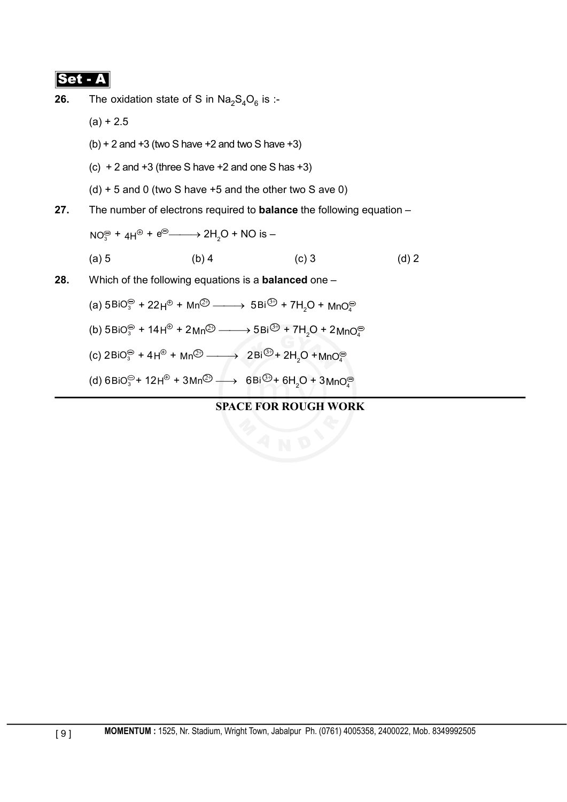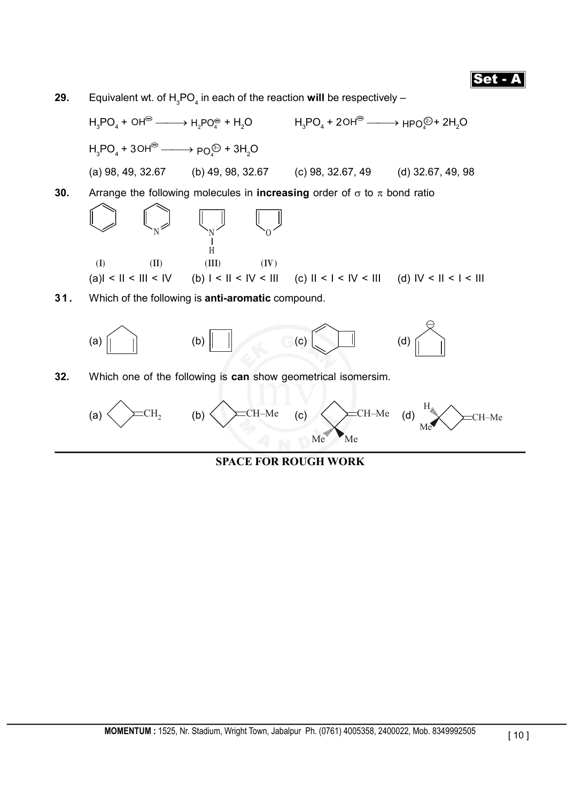





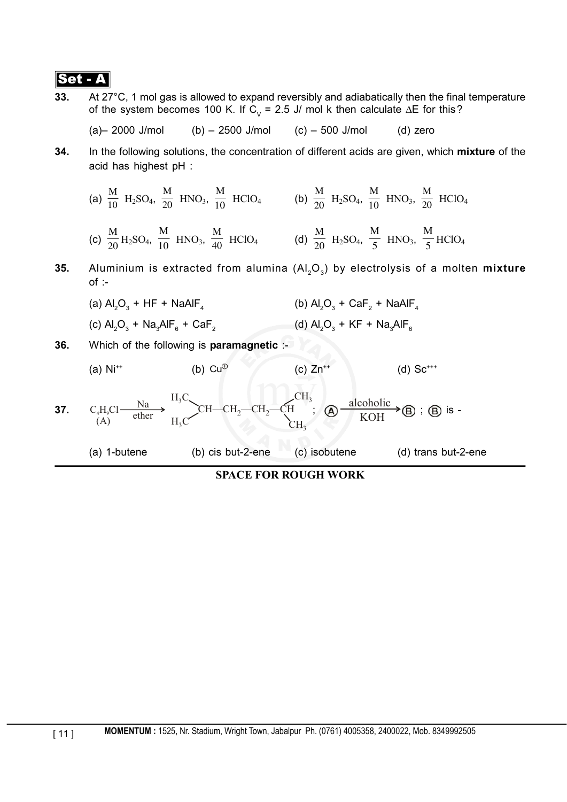**33.** At 27°C, 1 mol gas is allowed to expand reversibly and adiabatically then the final temperature of the system becomes 100 K. If C<sub>v</sub> = 2.5 J/ mol k then calculate  $\Delta E$  for this?

(a) 
$$
- 2000
$$
 J/mol (b)  $- 2500$  J/mol (c)  $- 500$  J/mol (d) zero

**34.** In the following solutions, the concentration of different acids are given, which **mixture** of the acid has highest pH :

(a) 
$$
\frac{M}{10}
$$
 H<sub>2</sub>SO<sub>4</sub>,  $\frac{M}{20}$  HNO<sub>3</sub>,  $\frac{M}{10}$  HClO<sub>4</sub> (b)  $\frac{M}{20}$  H<sub>2</sub>SO<sub>4</sub>,  $\frac{M}{10}$  HNO<sub>3</sub>,  $\frac{M}{20}$  HClO<sub>4</sub>  
(c)  $\frac{M}{20}$  H<sub>2</sub>SO<sub>4</sub>,  $\frac{M}{10}$  HNO<sub>3</sub>,  $\frac{M}{40}$  HClO<sub>4</sub> (d)  $\frac{M}{20}$  H<sub>2</sub>SO<sub>4</sub>,  $\frac{M}{5}$  HNO<sub>3</sub>,  $\frac{M}{5}$  HClO<sub>4</sub>

- **35.** Aluminium is extracted from alumina (Al<sub>2</sub>O<sub>3</sub>) by electrolysis of a molten **mixture**  $of :$ 
	- (a)  $Al_2O_3 + HF + NaAlF_4$  (b)  $Al_2$  $O_3$  + CaF<sub>2</sub> + NaAlF<sub>4</sub>
	- (c)  $Al_2O_3 + Na_3AlF_6 + CaF_2$  (d)  $Al_2O_3 + KF + Na_3AlF_6$
- **36.** Which of the following is **paramagnetic** :-

(a) Ni<sup>\*\*</sup> (b) Cu<sup>®</sup> (c) Zn<sup>\*\*</sup> (d) Sc<sup>\*\*</sup>  
37. C<sub>4</sub>H<sub>9</sub>Cl 
$$
\xrightarrow{\text{Na}} H_3C
$$
 CH–CH<sub>2</sub>–CH<sub>2</sub>–CH<sub>3</sub>;  $\bigotimes \frac{\text{alcoholic}}{\text{KOH}} \bigotimes$ ;  $\bigotimes \text{ is -}$   
CH<sub>3</sub>

(a) 1-butene (b) cis but-2-ene (c) isobutene (d) trans but-2-ene

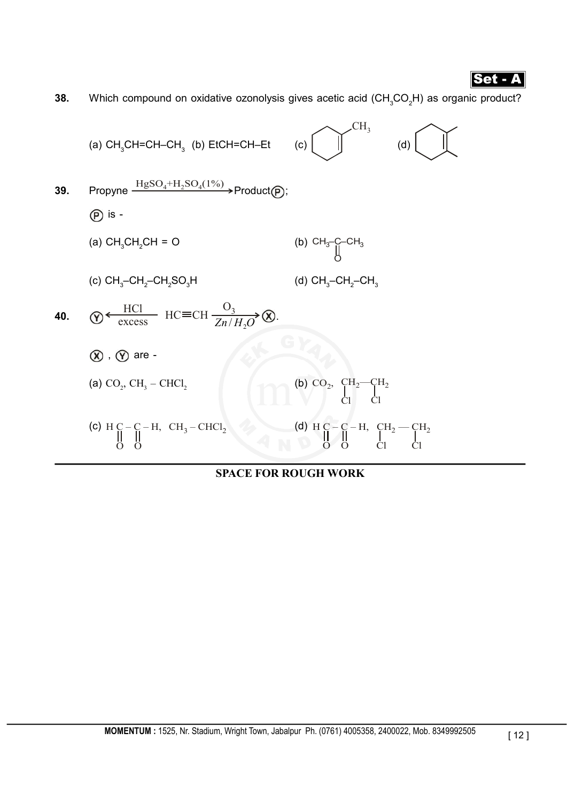**38.** Which compound on oxidative ozonolysis gives acetic acid (CH<sub>3</sub>CO<sub>2</sub>H) as organic product?

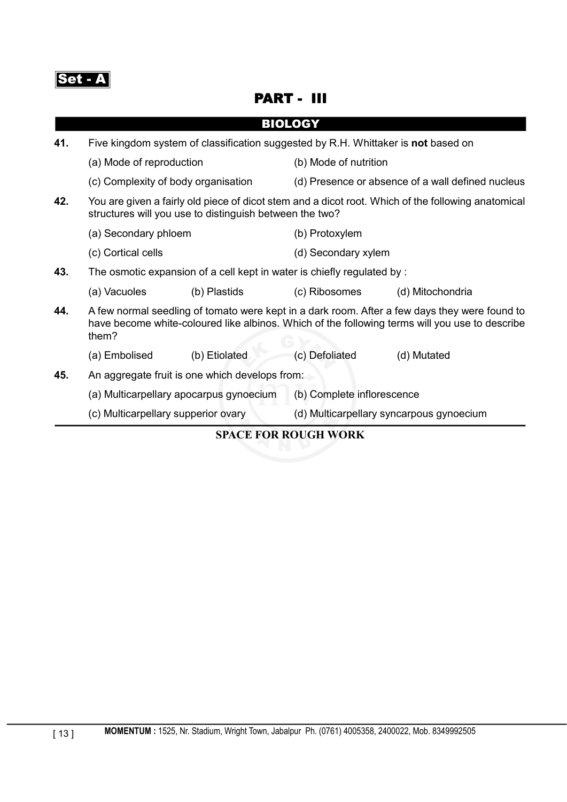Set - A

### PART - III

|     |                                                                                                                                                               |                                         | <b>BIOLOGY</b>                                                                                                                                                                                  |                  |  |
|-----|---------------------------------------------------------------------------------------------------------------------------------------------------------------|-----------------------------------------|-------------------------------------------------------------------------------------------------------------------------------------------------------------------------------------------------|------------------|--|
| 41. | Five kingdom system of classification suggested by R.H. Whittaker is not based on                                                                             |                                         |                                                                                                                                                                                                 |                  |  |
|     | (a) Mode of reproduction                                                                                                                                      |                                         | (b) Mode of nutrition                                                                                                                                                                           |                  |  |
|     |                                                                                                                                                               | (c) Complexity of body organisation     | (d) Presence or absence of a wall defined nucleus                                                                                                                                               |                  |  |
| 42. | You are given a fairly old piece of dicot stem and a dicot root. Which of the following anatomical<br>structures will you use to distinguish between the two? |                                         |                                                                                                                                                                                                 |                  |  |
|     | (a) Secondary phloem                                                                                                                                          |                                         | (b) Protoxylem                                                                                                                                                                                  |                  |  |
|     | (c) Cortical cells                                                                                                                                            |                                         | (d) Secondary xylem                                                                                                                                                                             |                  |  |
| 43. | The osmotic expansion of a cell kept in water is chiefly regulated by :                                                                                       |                                         |                                                                                                                                                                                                 |                  |  |
|     | (a) Vacuoles                                                                                                                                                  | (b) Plastids                            | (c) Ribosomes                                                                                                                                                                                   | (d) Mitochondria |  |
| 44. | them?                                                                                                                                                         |                                         | A few normal seedling of tomato were kept in a dark room. After a few days they were found to<br>have become white-coloured like albinos. Which of the following terms will you use to describe |                  |  |
|     | (a) Embolised                                                                                                                                                 | (b) Etiolated                           | (c) Defoliated                                                                                                                                                                                  | (d) Mutated      |  |
| 45. | An aggregate fruit is one which develops from:                                                                                                                |                                         |                                                                                                                                                                                                 |                  |  |
|     |                                                                                                                                                               | (a) Multicarpellary apocarpus gynoecium | (b) Complete inflorescence                                                                                                                                                                      |                  |  |
|     | (c) Multicarpellary supperior ovary                                                                                                                           |                                         | (d) Multicarpellary syncarpous gynoecium                                                                                                                                                        |                  |  |
|     |                                                                                                                                                               |                                         | <b>SPACE FOR ROUGH WORK</b>                                                                                                                                                                     |                  |  |
|     |                                                                                                                                                               |                                         |                                                                                                                                                                                                 |                  |  |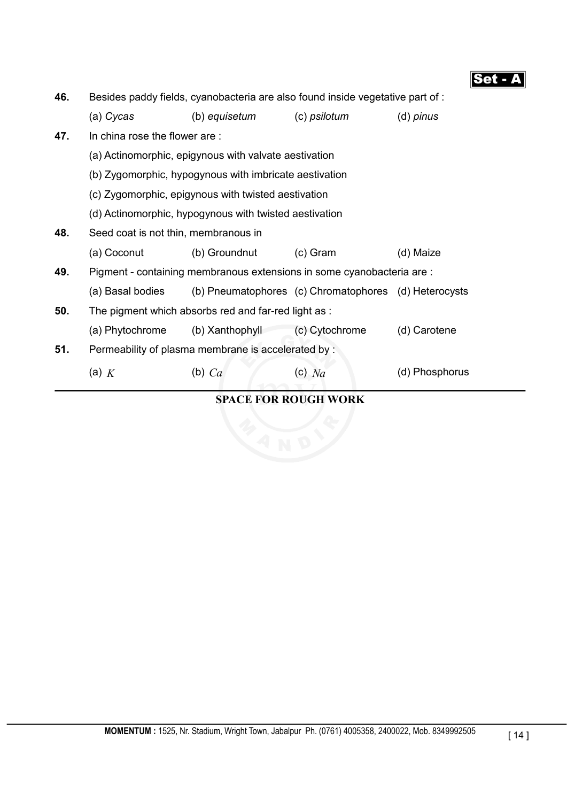Set - A

| 46. | Besides paddy fields, cyanobacteria are also found inside vegetative part of:                                 |                 |                                                       |                |  |  |  |
|-----|---------------------------------------------------------------------------------------------------------------|-----------------|-------------------------------------------------------|----------------|--|--|--|
|     | (a) Cycas                                                                                                     | (b) equisetum   | (c) psilotum                                          | $(d)$ pinus    |  |  |  |
| 47. | In china rose the flower are:                                                                                 |                 |                                                       |                |  |  |  |
|     | (a) Actinomorphic, epigynous with valvate aestivation                                                         |                 |                                                       |                |  |  |  |
|     | (b) Zygomorphic, hypogynous with imbricate aestivation<br>(c) Zygomorphic, epigynous with twisted aestivation |                 |                                                       |                |  |  |  |
|     |                                                                                                               |                 |                                                       |                |  |  |  |
|     | (d) Actinomorphic, hypogynous with twisted aestivation                                                        |                 |                                                       |                |  |  |  |
| 48. | Seed coat is not thin, membranous in                                                                          |                 |                                                       |                |  |  |  |
|     | (a) Coconut                                                                                                   | (b) Groundnut   | $(c)$ Gram                                            | (d) Maize      |  |  |  |
| 49. | Pigment - containing membranous extensions in some cyanobacteria are :                                        |                 |                                                       |                |  |  |  |
|     | (a) Basal bodies                                                                                              |                 | (b) Pneumatophores (c) Chromatophores (d) Heterocysts |                |  |  |  |
| 50. | The pigment which absorbs red and far-red light as :                                                          |                 |                                                       |                |  |  |  |
|     | (a) Phytochrome                                                                                               | (b) Xanthophyll | (c) Cytochrome                                        | (d) Carotene   |  |  |  |
| 51. | Permeability of plasma membrane is accelerated by :                                                           |                 |                                                       |                |  |  |  |
|     | (a) $K$                                                                                                       | (b) $Ca$        | $(c)$ Na                                              | (d) Phosphorus |  |  |  |
|     |                                                                                                               |                 |                                                       |                |  |  |  |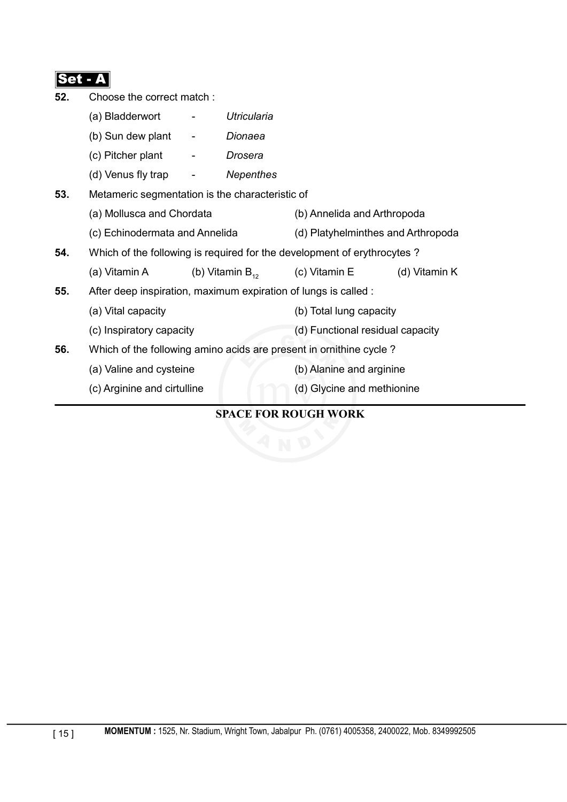| 52. | Choose the correct match:                                               |        |                                    |                                    |               |  |
|-----|-------------------------------------------------------------------------|--------|------------------------------------|------------------------------------|---------------|--|
|     | (a) Bladderwort                                                         |        | Utricularia                        |                                    |               |  |
|     | (b) Sun dew plant                                                       | $\sim$ | Dionaea                            |                                    |               |  |
|     | (c) Pitcher plant                                                       |        | Drosera                            |                                    |               |  |
|     | (d) Venus fly trap                                                      |        | <b>Nepenthes</b>                   |                                    |               |  |
| 53. | Metameric segmentation is the characteristic of                         |        |                                    |                                    |               |  |
|     | (a) Mollusca and Chordata<br>(c) Echinodermata and Annelida             |        |                                    | (b) Annelida and Arthropoda        |               |  |
|     |                                                                         |        | (d) Platyhelminthes and Arthropoda |                                    |               |  |
| 54. | Which of the following is required for the development of erythrocytes? |        |                                    |                                    |               |  |
|     | (a) Vitamin A                                                           |        |                                    | (b) Vitamin $B_{12}$ (c) Vitamin E | (d) Vitamin K |  |
| 55. | After deep inspiration, maximum expiration of lungs is called :         |        |                                    |                                    |               |  |
|     | (a) Vital capacity                                                      |        |                                    | (b) Total lung capacity            |               |  |
|     | (c) Inspiratory capacity                                                |        |                                    | (d) Functional residual capacity   |               |  |
| 56. | Which of the following amino acids are present in ornithine cycle?      |        |                                    |                                    |               |  |
|     | (a) Valine and cysteine                                                 |        |                                    | (b) Alanine and arginine           |               |  |
|     | (c) Arginine and cirtulline                                             |        |                                    | (d) Glycine and methionine         |               |  |
|     |                                                                         |        |                                    |                                    |               |  |